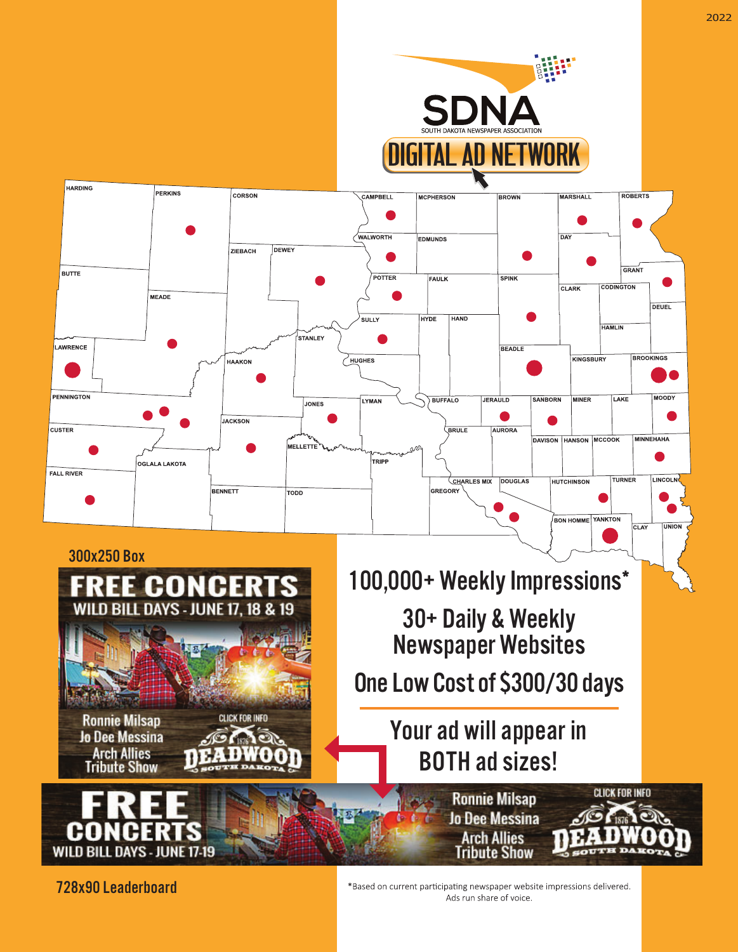

728x90 Leaderboard

\*Based on current participating newspaper website impressions delivered. Ads run share of voice.